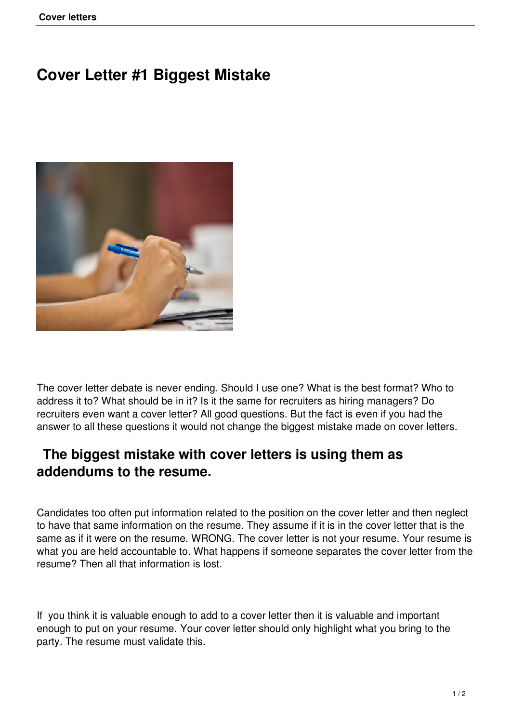# **Cover Letter #1 Biggest Mistake**



The cover letter debate is never ending. Should I use one? What is the best format? Who to address it to? What should be in it? Is it the same for recruiters as hiring managers? Do recruiters even want a cover letter? All good questions. But the fact is even if you had the answer to all these questions it would not change the biggest mistake made on cover letters.

## **The biggest mistake with cover letters is using them as addendums to the resume.**

Candidates too often put information related to the position on the cover letter and then neglect to have that same information on the resume. They assume if it is in the cover letter that is the same as if it were on the resume. WRONG. The cover letter is not your resume. Your resume is what you are held accountable to. What happens if someone separates the cover letter from the resume? Then all that information is lost.

If you think it is valuable enough to add to a cover letter then it is valuable and important enough to put on your resume. Your cover letter should only highlight what you bring to the party. The resume must validate this.